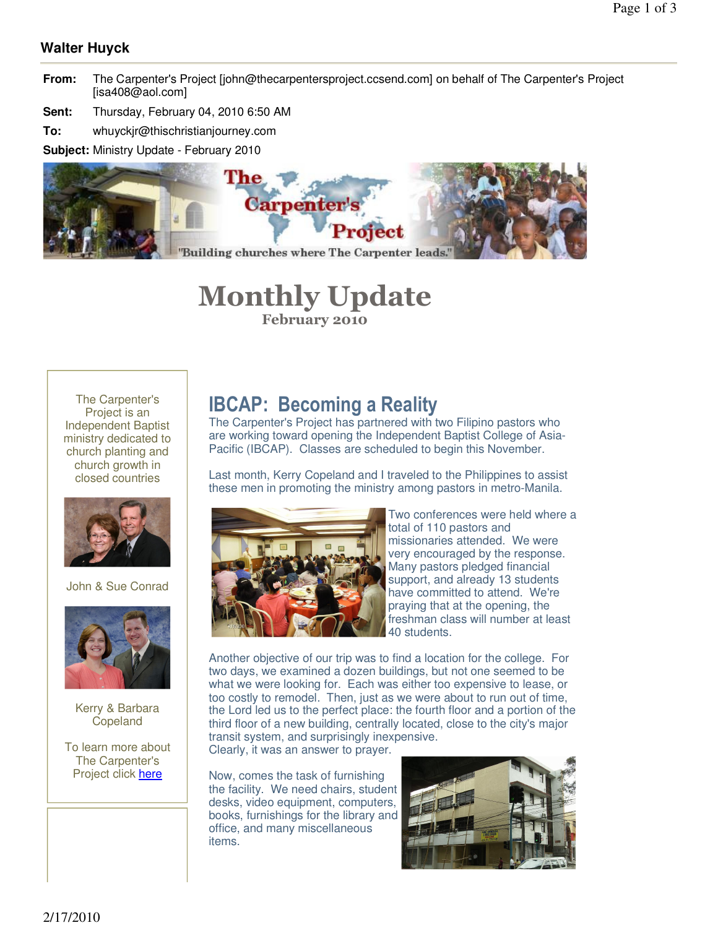### **Walter Huyck**

- **From:** The Carpenter's Project [john@thecarpentersproject.ccsend.com] on behalf of The Carpenter's Project [isa408@aol.com]
- **Sent:** Thursday, February 04, 2010 6:50 AM

**To:** whuyckjr@thischristianjourney.com

**Subject:** Ministry Update - February 2010



# **Monthly Update February 2010**

The Carpenter's Project is an Independent Baptist ministry dedicated to church planting and church growth in closed countries



John & Sue Conrad



Kerry & Barbara Copeland

To learn more about The Carpenter's Project click here

## **IBCAP: Becoming a Reality**

The Carpenter's Project has partnered with two Filipino pastors who are working toward opening the Independent Baptist College of Asia-Pacific (IBCAP). Classes are scheduled to begin this November.

Last month, Kerry Copeland and I traveled to the Philippines to assist these men in promoting the ministry among pastors in metro-Manila.



Two conferences were held where a total of 110 pastors and missionaries attended. We were very encouraged by the response. Many pastors pledged financial support, and already 13 students have committed to attend. We're praying that at the opening, the freshman class will number at least 40 students.

Another objective of our trip was to find a location for the college. For two days, we examined a dozen buildings, but not one seemed to be what we were looking for. Each was either too expensive to lease, or too costly to remodel. Then, just as we were about to run out of time, the Lord led us to the perfect place: the fourth floor and a portion of the third floor of a new building, centrally located, close to the city's major transit system, and surprisingly inexpensive. Clearly, it was an answer to prayer.

Now, comes the task of furnishing the facility. We need chairs, student desks, video equipment, computers, books, furnishings for the library and office, and many miscellaneous items.

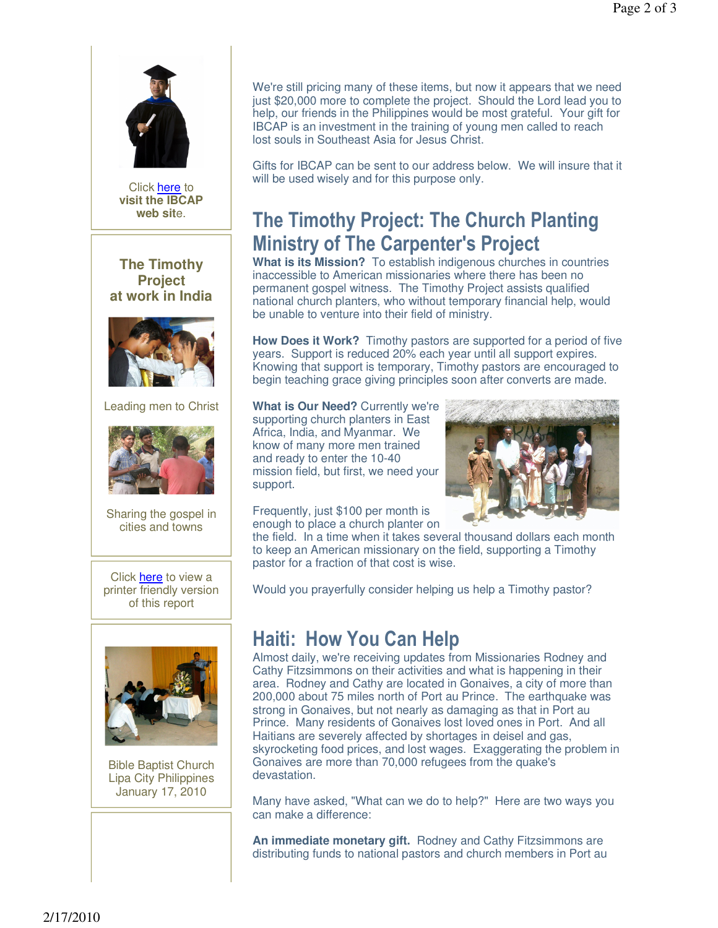

Click **here** to view a printer friendly version of this report



Bible Baptist Church Lipa City Philippines January 17, 2010

We're still pricing many of these items, but now it appears that we need just \$20,000 more to complete the project. Should the Lord lead you to help, our friends in the Philippines would be most grateful. Your gift for IBCAP is an investment in the training of young men called to reach lost souls in Southeast Asia for Jesus Christ.

Gifts for IBCAP can be sent to our address below. We will insure that it will be used wisely and for this purpose only.

# **The Timothy Project: The Church Planting Ministry of The Carpenter's Project**

**What is its Mission?** To establish indigenous churches in countries inaccessible to American missionaries where there has been no permanent gospel witness. The Timothy Project assists qualified national church planters, who without temporary financial help, would be unable to venture into their field of ministry.

**How Does it Work?** Timothy pastors are supported for a period of five years. Support is reduced 20% each year until all support expires. Knowing that support is temporary, Timothy pastors are encouraged to begin teaching grace giving principles soon after converts are made.

**What is Our Need?** Currently we're supporting church planters in East Africa, India, and Myanmar. We know of many more men trained and ready to enter the 10-40 mission field, but first, we need your support.



Frequently, just \$100 per month is enough to place a church planter on

the field. In a time when it takes several thousand dollars each month to keep an American missionary on the field, supporting a Timothy pastor for a fraction of that cost is wise.

Would you prayerfully consider helping us help a Timothy pastor?

# **Haiti: How You Can Help**

Almost daily, we're receiving updates from Missionaries Rodney and Cathy Fitzsimmons on their activities and what is happening in their area. Rodney and Cathy are located in Gonaives, a city of more than 200,000 about 75 miles north of Port au Prince. The earthquake was strong in Gonaives, but not nearly as damaging as that in Port au Prince. Many residents of Gonaives lost loved ones in Port. And all Haitians are severely affected by shortages in deisel and gas, skyrocketing food prices, and lost wages. Exaggerating the problem in Gonaives are more than 70,000 refugees from the quake's devastation.

Many have asked, "What can we do to help?" Here are two ways you can make a difference:

**An immediate monetary gift.** Rodney and Cathy Fitzsimmons are distributing funds to national pastors and church members in Port au